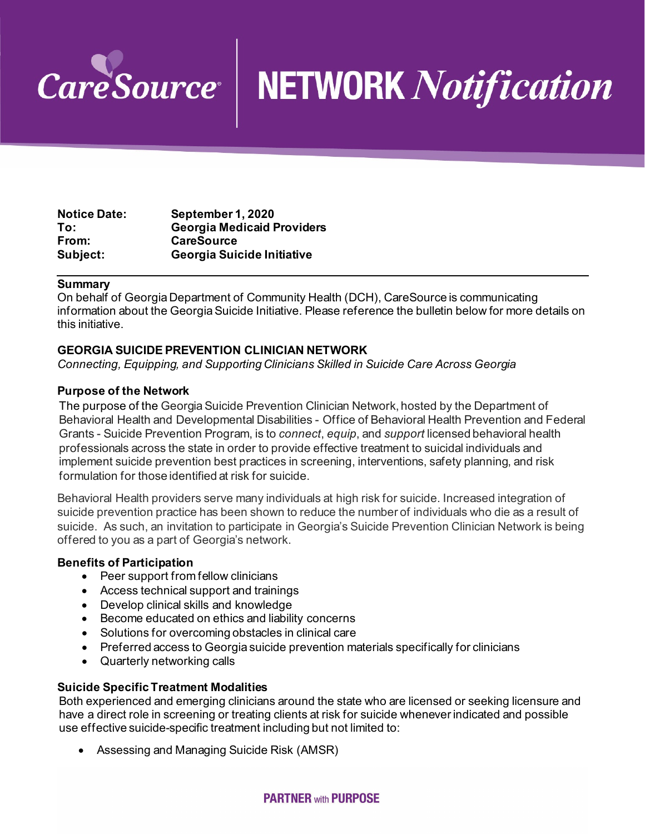

# **NETWORK Notification**

| <b>Notice Date:</b> | September 1, 2020                 |
|---------------------|-----------------------------------|
| To:                 | <b>Georgia Medicaid Providers</b> |
| From:               | <b>CareSource</b>                 |
| Subject:            | Georgia Suicide Initiative        |

#### **Summary**

On behalf of Georgia Department of Community Health (DCH), CareSource is communicating information about the Georgia Suicide Initiative. Please reference the bulletin below for more details on this initiative.

### **GEORGIA SUICIDE PREVENTION CLINICIAN NETWORK**

*Connecting, Equipping, and Supporting Clinicians Skilled in Suicide Care Across Georgia*

### **Purpose of the Network**

The purpose of the Georgia Suicide Prevention Clinician Network, hosted by the Department of Behavioral Health and Developmental Disabilities - Office of Behavioral Health Prevention and Federal Grants - Suicide Prevention Program, is to *connect*, *equip*, and *support* licensed behavioral health professionals across the state in order to provide effective treatment to suicidal individuals and implement suicide prevention best practices in screening, interventions, safety planning, and risk formulation for those identified at risk for suicide.

Behavioral Health providers serve many individuals at high risk for suicide. Increased integration of suicide prevention practice has been shown to reduce the number of individuals who die as a result of suicide. As such, an invitation to participate in Georgia's Suicide Prevention Clinician Network is being offered to you as a part of Georgia's network.

### **Benefits of Participation**

- Peer support from fellow clinicians
- Access technical support and trainings
- Develop clinical skills and knowledge
- Become educated on ethics and liability concerns
- Solutions for overcoming obstacles in clinical care
- Preferred access to Georgia suicide prevention materials specifically for clinicians
- Quarterly networking calls

### **Suicide Specific Treatment Modalities**

Both experienced and emerging clinicians around the state who are licensed or seeking licensure and have a direct role in screening or treating clients at risk for suicide whenever indicated and possible use effective suicide-specific treatment including but not limited to:

• Assessing and Managing Suicide Risk (AMSR)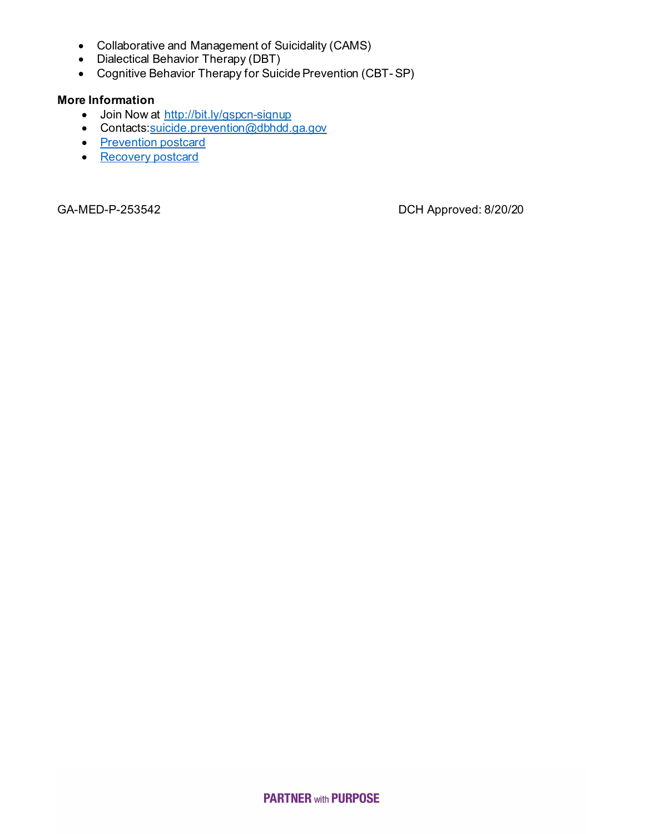- Collaborative and Management of Suicidality (CAMS)
- Dialectical Behavior Therapy (DBT)
- Cognitive Behavior Therapy for Suicide Prevention (CBT- SP)

## **More Information**

- Join Now at [http://bit.ly/gspcn-signup](https://gcc01.safelinks.protection.outlook.com/?url=http%3A%2F%2Fbit.ly%2Fgspcn-signup&data=02%7C01%7Csmiddlebrooks%40dch.ga.gov%7C250046cc6b6046ac659708d845077510%7C512da10d071b4b948abc9ec4044d1516%7C0%7C0%7C637335245610118857&sdata=wgCRIJ%2BxDob7dJ0BkmseD9I8bKaV27i53HjBtv0B5bc%3D&reserved=0)
- Contact[s:suicide.prevention@dbhdd.ga.gov](mailto:suicide.prevention@dbhdd.ga.gov)
- [Prevention postcard](https://www.caresource.com/documents/ga-med-p-253541-georgia-prevention-postcard/)
- [Recovery postcard](https://www.caresource.com/documents/ga-med-p-253541-georgia-recovery-postcard/)

GA-MED-P-253542 DCH Approved: 8/20/20